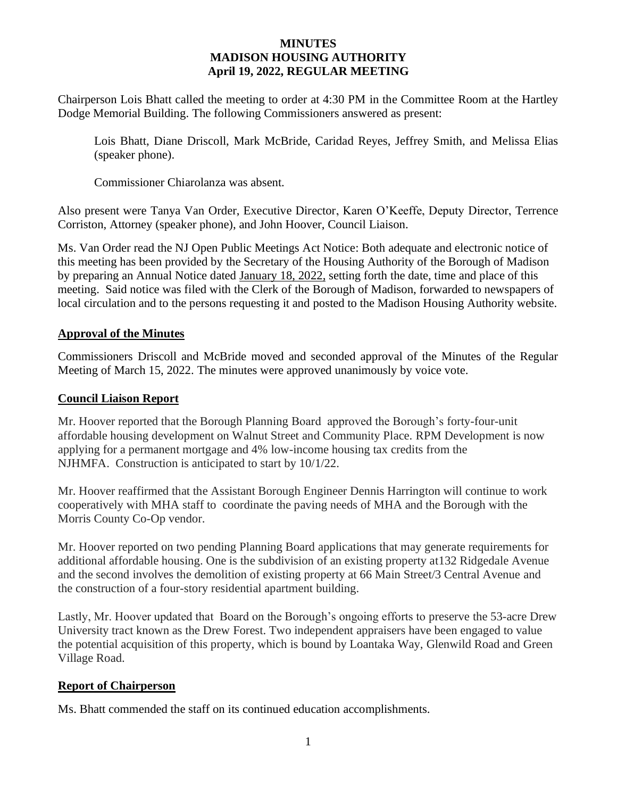#### **MINUTES MADISON HOUSING AUTHORITY April 19, 2022, REGULAR MEETING**

Chairperson Lois Bhatt called the meeting to order at 4:30 PM in the Committee Room at the Hartley Dodge Memorial Building. The following Commissioners answered as present:

Lois Bhatt, Diane Driscoll, Mark McBride, Caridad Reyes, Jeffrey Smith, and Melissa Elias (speaker phone).

Commissioner Chiarolanza was absent.

Also present were Tanya Van Order, Executive Director, Karen O'Keeffe, Deputy Director, Terrence Corriston, Attorney (speaker phone), and John Hoover, Council Liaison.

Ms. Van Order read the NJ Open Public Meetings Act Notice: Both adequate and electronic notice of this meeting has been provided by the Secretary of the Housing Authority of the Borough of Madison by preparing an Annual Notice dated January 18, 2022, setting forth the date, time and place of this meeting. Said notice was filed with the Clerk of the Borough of Madison, forwarded to newspapers of local circulation and to the persons requesting it and posted to the Madison Housing Authority website.

### **Approval of the Minutes**

Commissioners Driscoll and McBride moved and seconded approval of the Minutes of the Regular Meeting of March 15, 2022. The minutes were approved unanimously by voice vote.

#### **Council Liaison Report**

Mr. Hoover reported that the Borough Planning Board approved the Borough's forty-four-unit affordable housing development on Walnut Street and Community Place. RPM Development is now applying for a permanent mortgage and 4% low-income housing tax credits from the NJHMFA. Construction is anticipated to start by 10/1/22.

Mr. Hoover reaffirmed that the Assistant Borough Engineer Dennis Harrington will continue to work cooperatively with MHA staff to coordinate the paving needs of MHA and the Borough with the Morris County Co-Op vendor.

Mr. Hoover reported on two pending Planning Board applications that may generate requirements for additional affordable housing. One is the subdivision of an existing property at132 Ridgedale Avenue and the second involves the demolition of existing property at 66 Main Street/3 Central Avenue and the construction of a four-story residential apartment building.

Lastly, Mr. Hoover updated that Board on the Borough's ongoing efforts to preserve the 53-acre Drew University tract known as the Drew Forest. Two independent appraisers have been engaged to value the potential acquisition of this property, which is bound by Loantaka Way, Glenwild Road and Green Village Road.

## **Report of Chairperson**

Ms. Bhatt commended the staff on its continued education accomplishments.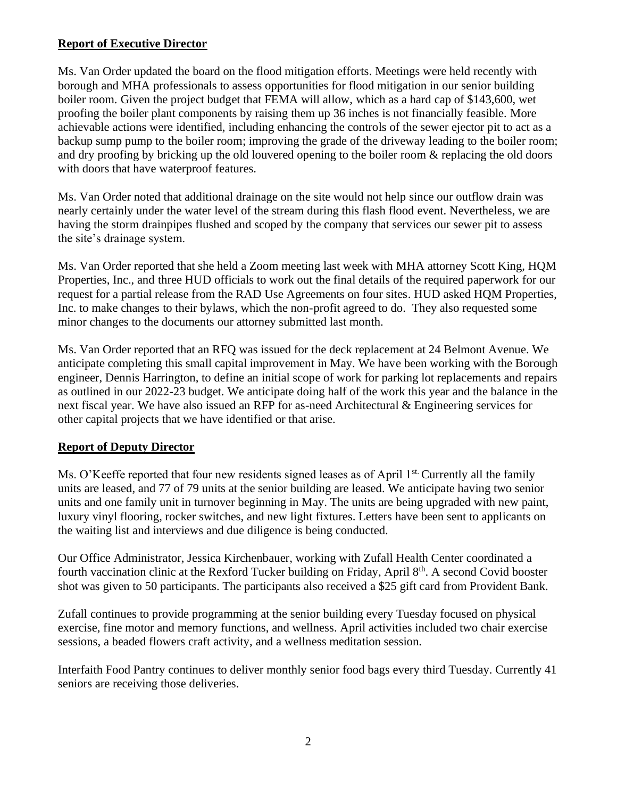## **Report of Executive Director**

Ms. Van Order updated the board on the flood mitigation efforts. Meetings were held recently with borough and MHA professionals to assess opportunities for flood mitigation in our senior building boiler room. Given the project budget that FEMA will allow, which as a hard cap of \$143,600, wet proofing the boiler plant components by raising them up 36 inches is not financially feasible. More achievable actions were identified, including enhancing the controls of the sewer ejector pit to act as a backup sump pump to the boiler room; improving the grade of the driveway leading to the boiler room; and dry proofing by bricking up the old louvered opening to the boiler room & replacing the old doors with doors that have waterproof features.

Ms. Van Order noted that additional drainage on the site would not help since our outflow drain was nearly certainly under the water level of the stream during this flash flood event. Nevertheless, we are having the storm drainpipes flushed and scoped by the company that services our sewer pit to assess the site's drainage system.

Ms. Van Order reported that she held a Zoom meeting last week with MHA attorney Scott King, HQM Properties, Inc., and three HUD officials to work out the final details of the required paperwork for our request for a partial release from the RAD Use Agreements on four sites. HUD asked HQM Properties, Inc. to make changes to their bylaws, which the non-profit agreed to do. They also requested some minor changes to the documents our attorney submitted last month.

Ms. Van Order reported that an RFQ was issued for the deck replacement at 24 Belmont Avenue. We anticipate completing this small capital improvement in May. We have been working with the Borough engineer, Dennis Harrington, to define an initial scope of work for parking lot replacements and repairs as outlined in our 2022-23 budget. We anticipate doing half of the work this year and the balance in the next fiscal year. We have also issued an RFP for as-need Architectural & Engineering services for other capital projects that we have identified or that arise.

# **Report of Deputy Director**

Ms. O'Keeffe reported that four new residents signed leases as of April 1<sup>st.</sup> Currently all the family units are leased, and 77 of 79 units at the senior building are leased. We anticipate having two senior units and one family unit in turnover beginning in May. The units are being upgraded with new paint, luxury vinyl flooring, rocker switches, and new light fixtures. Letters have been sent to applicants on the waiting list and interviews and due diligence is being conducted.

Our Office Administrator, Jessica Kirchenbauer, working with Zufall Health Center coordinated a fourth vaccination clinic at the Rexford Tucker building on Friday, April 8th. A second Covid booster shot was given to 50 participants. The participants also received a \$25 gift card from Provident Bank.

Zufall continues to provide programming at the senior building every Tuesday focused on physical exercise, fine motor and memory functions, and wellness. April activities included two chair exercise sessions, a beaded flowers craft activity, and a wellness meditation session.

Interfaith Food Pantry continues to deliver monthly senior food bags every third Tuesday. Currently 41 seniors are receiving those deliveries.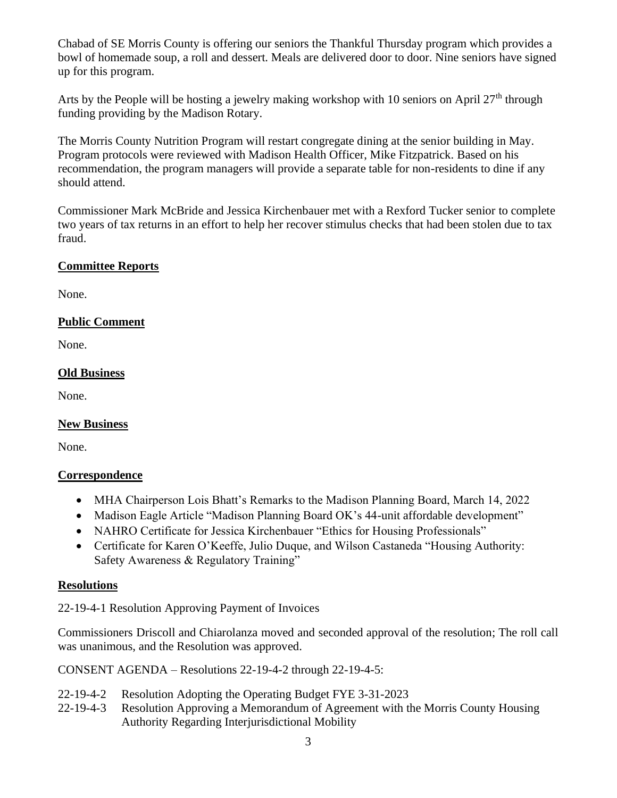Chabad of SE Morris County is offering our seniors the Thankful Thursday program which provides a bowl of homemade soup, a roll and dessert. Meals are delivered door to door. Nine seniors have signed up for this program.

Arts by the People will be hosting a jewelry making workshop with 10 seniors on April 27<sup>th</sup> through funding providing by the Madison Rotary.

The Morris County Nutrition Program will restart congregate dining at the senior building in May. Program protocols were reviewed with Madison Health Officer, Mike Fitzpatrick. Based on his recommendation, the program managers will provide a separate table for non-residents to dine if any should attend.

Commissioner Mark McBride and Jessica Kirchenbauer met with a Rexford Tucker senior to complete two years of tax returns in an effort to help her recover stimulus checks that had been stolen due to tax fraud.

## **Committee Reports**

None.

## **Public Comment**

None.

## **Old Business**

None.

## **New Business**

None.

## **Correspondence**

- MHA Chairperson Lois Bhatt's Remarks to the Madison Planning Board, March 14, 2022
- Madison Eagle Article "Madison Planning Board OK's 44-unit affordable development"
- NAHRO Certificate for Jessica Kirchenbauer "Ethics for Housing Professionals"
- Certificate for Karen O'Keeffe, Julio Duque, and Wilson Castaneda "Housing Authority: Safety Awareness & Regulatory Training"

## **Resolutions**

22-19-4-1 Resolution Approving Payment of Invoices

Commissioners Driscoll and Chiarolanza moved and seconded approval of the resolution; The roll call was unanimous, and the Resolution was approved.

CONSENT AGENDA – Resolutions 22-19-4-2 through 22-19-4-5:

- 22-19-4-2 Resolution Adopting the Operating Budget FYE 3-31-2023
- 22-19-4-3 Resolution Approving a Memorandum of Agreement with the Morris County Housing Authority Regarding Interjurisdictional Mobility